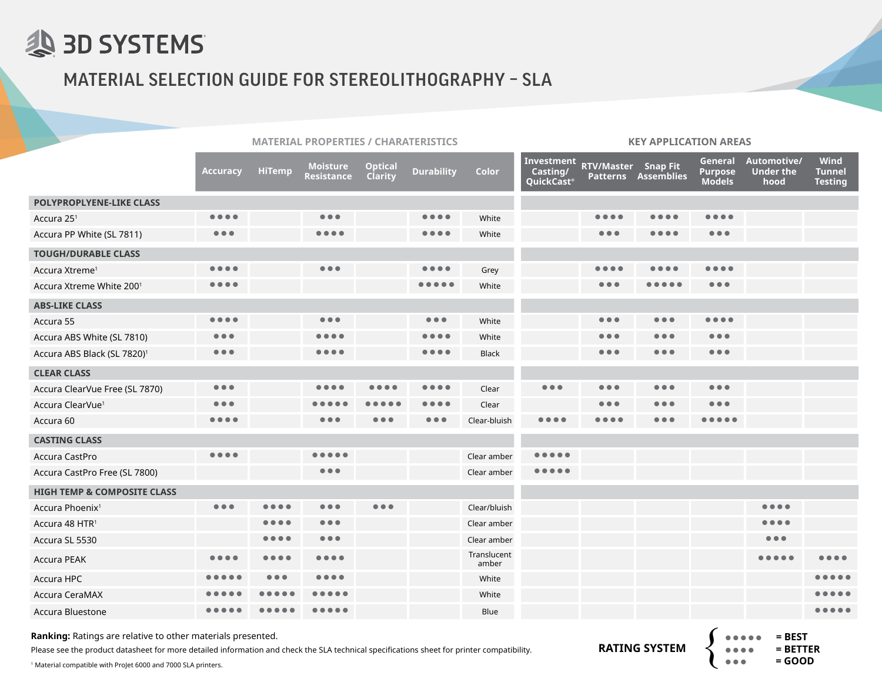

## MATERIAL SELECTION GUIDE FOR STEREOLITHOGRAPHY – SLA

|                                         | <b>MATERIAL PROPERTIES / CHARATERISTICS</b> |               |                                                                                                                    |                                  |                                                                                                                    | <b>KEY APPLICATION AREAS</b> |                                                                                                                    |                                |                            |                                            |                                       |                                       |
|-----------------------------------------|---------------------------------------------|---------------|--------------------------------------------------------------------------------------------------------------------|----------------------------------|--------------------------------------------------------------------------------------------------------------------|------------------------------|--------------------------------------------------------------------------------------------------------------------|--------------------------------|----------------------------|--------------------------------------------|---------------------------------------|---------------------------------------|
|                                         | <b>Accuracy</b>                             | <b>HiTemp</b> | <b>Moisture</b><br><b>Resistance</b>                                                                               | <b>Optical</b><br><b>Clarity</b> | <b>Durability</b>                                                                                                  | <b>Color</b>                 | Investment<br>Casting/<br>QuickCast®                                                                               | <b>RTV/Master</b> Snap Fit     | <b>Patterns Assemblies</b> | General<br><b>Purpose</b><br><b>Models</b> | Automotive/<br>Under the<br>hood      | Wind<br>Tunnel<br><b>Testing</b>      |
| <b>POLYPROPLYENE-LIKE CLASS</b>         |                                             |               |                                                                                                                    |                                  |                                                                                                                    |                              |                                                                                                                    |                                |                            |                                            |                                       |                                       |
| Accura 25 <sup>1</sup>                  | $\bullet\bullet\bullet\bullet$              |               | $\bullet\bullet\bullet$                                                                                            |                                  | $\bullet\bullet\bullet\bullet$                                                                                     | White                        |                                                                                                                    | .                              |                            | $\bullet\bullet\bullet\bullet$             |                                       |                                       |
| Accura PP White (SL 7811)               | $\bullet\bullet\bullet$                     |               | $\bullet\bullet\bullet\bullet$                                                                                     |                                  | $\bullet\bullet\bullet\bullet$                                                                                     | White                        |                                                                                                                    | $\bullet\bullet\bullet$        |                            | $\bullet\bullet\bullet$                    |                                       |                                       |
| <b>TOUGH/DURABLE CLASS</b>              |                                             |               |                                                                                                                    |                                  |                                                                                                                    |                              |                                                                                                                    |                                |                            |                                            |                                       |                                       |
| Accura Xtreme <sup>1</sup>              | $\bullet\bullet\bullet\bullet$              |               | $\bullet\bullet\bullet$                                                                                            |                                  | $\bullet\bullet\bullet\bullet$                                                                                     | Grey                         |                                                                                                                    | .                              |                            |                                            |                                       |                                       |
| Accura Xtreme White 2001                | $\bullet\bullet\bullet\bullet$              |               |                                                                                                                    |                                  | $\begin{array}{ccccccccccccccccc} \bullet & \bullet & \bullet & \bullet & \bullet & \bullet & \bullet \end{array}$ | White                        |                                                                                                                    | $\bullet\bullet\bullet$        |                            | $\bullet\bullet\bullet$                    |                                       |                                       |
| <b>ABS-LIKE CLASS</b>                   |                                             |               |                                                                                                                    |                                  |                                                                                                                    |                              |                                                                                                                    |                                |                            |                                            |                                       |                                       |
| Accura 55                               | $\bullet\bullet\bullet\bullet$              |               | $\bullet\bullet\bullet$                                                                                            |                                  | $\bullet\bullet\bullet$                                                                                            | White                        |                                                                                                                    | $\bullet\bullet\bullet$        | $\bullet\bullet\bullet$    | $\bullet\bullet\bullet\bullet$             |                                       |                                       |
| Accura ABS White (SL 7810)              | $\bullet\bullet\bullet$                     |               | $\bullet\bullet\bullet\bullet$                                                                                     |                                  | $\bullet\bullet\bullet\bullet$                                                                                     | White                        |                                                                                                                    | $\bullet\bullet\bullet$        | $\bullet\bullet\bullet$    | $\bullet\bullet\bullet$                    |                                       |                                       |
| Accura ABS Black (SL 7820) <sup>1</sup> | $\bullet\bullet\bullet$                     |               | $\bullet\bullet\bullet\bullet$                                                                                     |                                  | $\bullet\bullet\bullet\bullet$                                                                                     | <b>Black</b>                 |                                                                                                                    | $\bullet\bullet\bullet$        | $\bullet\bullet\bullet$    | $\bullet\bullet\bullet$                    |                                       |                                       |
| <b>CLEAR CLASS</b>                      |                                             |               |                                                                                                                    |                                  |                                                                                                                    |                              |                                                                                                                    |                                |                            |                                            |                                       |                                       |
| Accura ClearVue Free (SL 7870)          | $\bullet\bullet\bullet$                     |               |                                                                                                                    |                                  |                                                                                                                    | Clear                        | $\bullet\bullet\bullet$                                                                                            | $\bullet\bullet\bullet$        | $\bullet\bullet\bullet$    | $\bullet\bullet\bullet$                    |                                       |                                       |
| Accura ClearVue <sup>1</sup>            | $\bullet\bullet\bullet$                     |               |                                                                                                                    |                                  | .                                                                                                                  | Clear                        |                                                                                                                    | $\bullet\bullet\bullet$        | $\bullet\bullet\bullet$    | $\bullet\bullet\bullet$                    |                                       |                                       |
| Accura 60                               | $\bullet$ $\bullet$ $\bullet$               |               | $\bullet\bullet\bullet$                                                                                            | $\bullet\bullet\bullet$          | $\bullet\bullet\bullet$                                                                                            | Clear-bluish                 | $\bullet\bullet\bullet\bullet$                                                                                     | $\bullet\bullet\bullet\bullet$ | $\bullet\bullet\bullet$    | $\bullet\bullet\bullet\bullet\bullet$      |                                       |                                       |
| <b>CASTING CLASS</b>                    |                                             |               |                                                                                                                    |                                  |                                                                                                                    |                              |                                                                                                                    |                                |                            |                                            |                                       |                                       |
| Accura CastPro                          | $\bullet\bullet\bullet\bullet$              |               | $\begin{array}{ccccccccccccccccc} \bullet & \bullet & \bullet & \bullet & \bullet & \bullet & \bullet \end{array}$ |                                  |                                                                                                                    | Clear amber                  | $\begin{array}{ccccccccccccccccc} \bullet & \bullet & \bullet & \bullet & \bullet & \bullet & \bullet \end{array}$ |                                |                            |                                            |                                       |                                       |
| Accura CastPro Free (SL 7800)           |                                             |               | $\bullet\bullet\bullet$                                                                                            |                                  |                                                                                                                    | Clear amber                  | $\begin{array}{ccccccccccccccccc} \bullet & \bullet & \bullet & \bullet & \bullet & \bullet & \bullet \end{array}$ |                                |                            |                                            |                                       |                                       |
| <b>HIGH TEMP &amp; COMPOSITE CLASS</b>  |                                             |               |                                                                                                                    |                                  |                                                                                                                    |                              |                                                                                                                    |                                |                            |                                            |                                       |                                       |
| Accura Phoenix <sup>1</sup>             | $\bullet\bullet\bullet$                     |               | $\bullet\bullet\bullet$                                                                                            | $\bullet\bullet\bullet$          |                                                                                                                    | Clear/bluish                 |                                                                                                                    |                                |                            |                                            | $\bullet\bullet\bullet\bullet$        |                                       |
| Accura 48 HTR <sup>1</sup>              |                                             |               | $\bullet\bullet\bullet$                                                                                            |                                  |                                                                                                                    | Clear amber                  |                                                                                                                    |                                |                            |                                            | $\bullet\bullet\bullet\bullet$        |                                       |
| Accura SL 5530                          |                                             | .             | $\bullet\bullet\bullet$                                                                                            |                                  |                                                                                                                    | Clear amber                  |                                                                                                                    |                                |                            |                                            | $\bullet\bullet\bullet$               |                                       |
| <b>Accura PEAK</b>                      | ٠                                           |               | $\bullet\bullet\bullet\bullet$                                                                                     |                                  |                                                                                                                    | Translucent<br>amber         |                                                                                                                    |                                |                            |                                            | $\bullet\bullet\bullet\bullet\bullet$ |                                       |
| Accura HPC                              |                                             |               | $\bullet\bullet\bullet\bullet$                                                                                     |                                  |                                                                                                                    | White                        |                                                                                                                    |                                |                            |                                            |                                       |                                       |
| Accura CeraMAX                          |                                             |               | $\bullet$ $\bullet$                                                                                                |                                  |                                                                                                                    | White                        |                                                                                                                    |                                |                            |                                            |                                       | .                                     |
| Accura Bluestone                        |                                             |               | $\bullet$ $\bullet$                                                                                                |                                  |                                                                                                                    | Blue                         |                                                                                                                    |                                |                            |                                            |                                       | $\bullet\bullet\bullet\bullet\bullet$ |

**Ranking:** Ratings are relative to other materials presented.

Please see the product datasheet for more detailed information and check the SLA technical specifications sheet for printer compatibility.

<sup>1</sup> Material compatible with ProJet 6000 and 7000 SLA printers.

**RATING SYSTEM** {

 **= BETTER = GOOD**